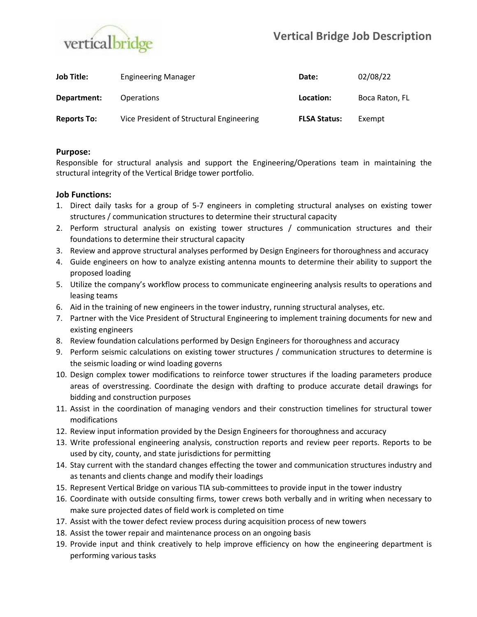# **Vertical Bridge Job Description**



| <b>Job Title:</b>  | <b>Engineering Manager</b>               | Date:               | 02/08/22       |
|--------------------|------------------------------------------|---------------------|----------------|
| Department:        | <b>Operations</b>                        | Location:           | Boca Raton, FL |
| <b>Reports To:</b> | Vice President of Structural Engineering | <b>FLSA Status:</b> | Exempt         |

#### **Purpose:**

Responsible for structural analysis and support the Engineering/Operations team in maintaining the structural integrity of the Vertical Bridge tower portfolio.

#### **Job Functions:**

- 1. Direct daily tasks for a group of 5-7 engineers in completing structural analyses on existing tower structures / communication structures to determine their structural capacity
- 2. Perform structural analysis on existing tower structures / communication structures and their foundations to determine their structural capacity
- 3. Review and approve structural analyses performed by Design Engineers for thoroughness and accuracy
- 4. Guide engineers on how to analyze existing antenna mounts to determine their ability to support the proposed loading
- 5. Utilize the company's workflow process to communicate engineering analysis results to operations and leasing teams
- 6. Aid in the training of new engineers in the tower industry, running structural analyses, etc.
- 7. Partner with the Vice President of Structural Engineering to implement training documents for new and existing engineers
- 8. Review foundation calculations performed by Design Engineers for thoroughness and accuracy
- 9. Perform seismic calculations on existing tower structures / communication structures to determine is the seismic loading or wind loading governs
- 10. Design complex tower modifications to reinforce tower structures if the loading parameters produce areas of overstressing. Coordinate the design with drafting to produce accurate detail drawings for bidding and construction purposes
- 11. Assist in the coordination of managing vendors and their construction timelines for structural tower modifications
- 12. Review input information provided by the Design Engineers for thoroughness and accuracy
- 13. Write professional engineering analysis, construction reports and review peer reports. Reports to be used by city, county, and state jurisdictions for permitting
- 14. Stay current with the standard changes effecting the tower and communication structures industry and as tenants and clients change and modify their loadings
- 15. Represent Vertical Bridge on various TIA sub-committees to provide input in the tower industry
- 16. Coordinate with outside consulting firms, tower crews both verbally and in writing when necessary to make sure projected dates of field work is completed on time
- 17. Assist with the tower defect review process during acquisition process of new towers
- 18. Assist the tower repair and maintenance process on an ongoing basis
- 19. Provide input and think creatively to help improve efficiency on how the engineering department is performing various tasks